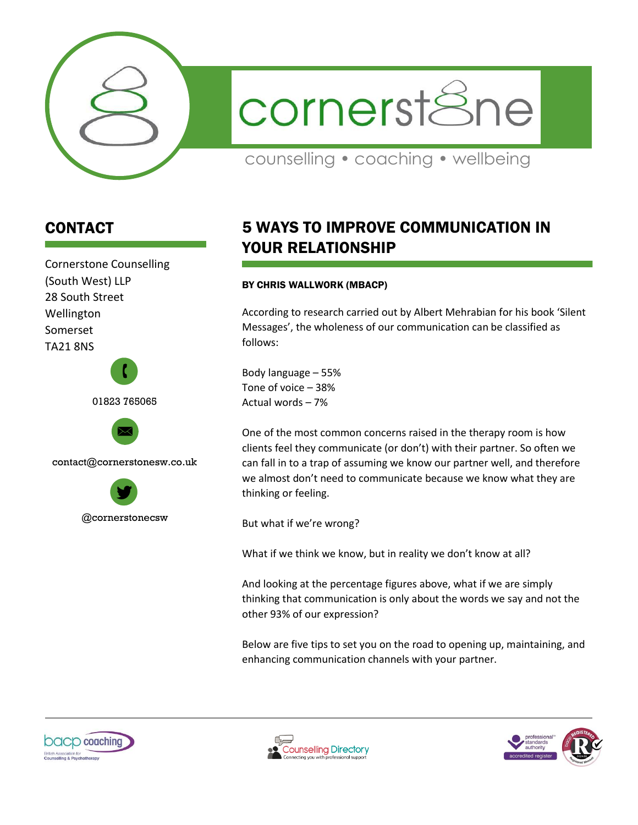

cornerstSne

counselling • coaching • wellbeing

## CONTACT

Cornerstone Counselling (South West) LLP 28 South Street Wellington Somerset TA21 8NS





contact@cornerstonesw.co.uk



# 5 WAYS TO IMPROVE COMMUNICATION IN YOUR RELATIONSHIP

## BY CHRIS WALLWORK (MBACP)

According to research carried out by Albert Mehrabian for his book 'Silent Messages', the wholeness of our communication can be classified as follows:

Body language – 55% Tone of voice – 38% Actual words – 7%

One of the most common concerns raised in the therapy room is how clients feel they communicate (or don't) with their partner. So often we can fall in to a trap of assuming we know our partner well, and therefore we almost don't need to communicate because we know what they are thinking or feeling.

But what if we're wrong?

What if we think we know, but in reality we don't know at all?

And looking at the percentage figures above, what if we are simply thinking that communication is only about the words we say and not the other 93% of our expression?

Below are five tips to set you on the road to opening up, maintaining, and enhancing communication channels with your partner.





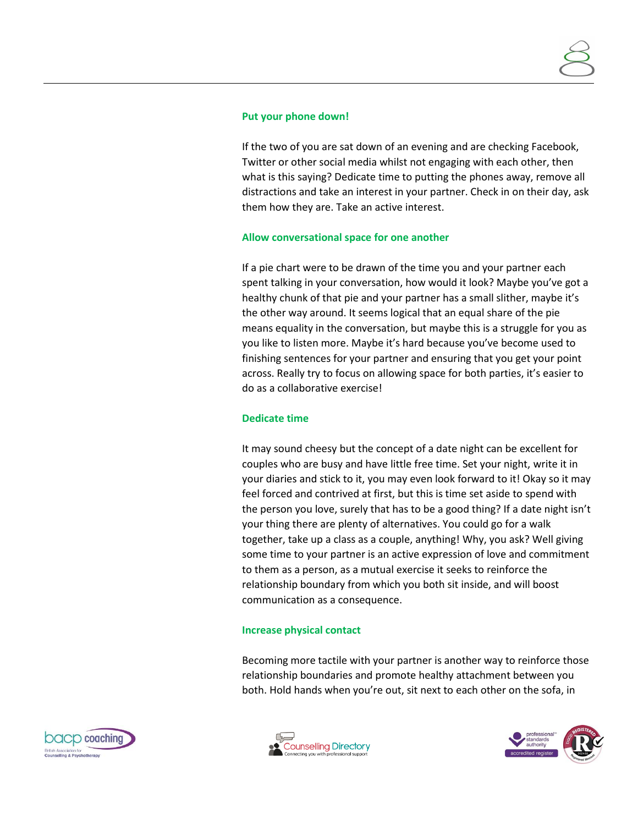#### **Put your phone down!**

If the two of you are sat down of an evening and are checking Facebook, Twitter or other social media whilst not engaging with each other, then what is this saying? Dedicate time to putting the phones away, remove all distractions and take an interest in your partner. Check in on their day, ask them how they are. Take an active interest.

## **Allow conversational space for one another**

If a pie chart were to be drawn of the time you and your partner each spent talking in your conversation, how would it look? Maybe you've got a healthy chunk of that pie and your partner has a small slither, maybe it's the other way around. It seems logical that an equal share of the pie means equality in the conversation, but maybe this is a struggle for you as you like to listen more. Maybe it's hard because you've become used to finishing sentences for your partner and ensuring that you get your point across. Really try to focus on allowing space for both parties, it's easier to do as a collaborative exercise!

#### **Dedicate time**

It may sound cheesy but the concept of a date night can be excellent for couples who are busy and have little free time. Set your night, write it in your diaries and stick to it, you may even look forward to it! Okay so it may feel forced and contrived at first, but this is time set aside to spend with the person you love, surely that has to be a good thing? If a date night isn't your thing there are plenty of alternatives. You could go for a walk together, take up a class as a couple, anything! Why, you ask? Well giving some time to your partner is an active expression of love and commitment to them as a person, as a mutual exercise it seeks to reinforce the relationship boundary from which you both sit inside, and will boost communication as a consequence.

#### **Increase physical contact**

Becoming more tactile with your partner is another way to reinforce those relationship boundaries and promote healthy attachment between you both. Hold hands when you're out, sit next to each other on the sofa, in